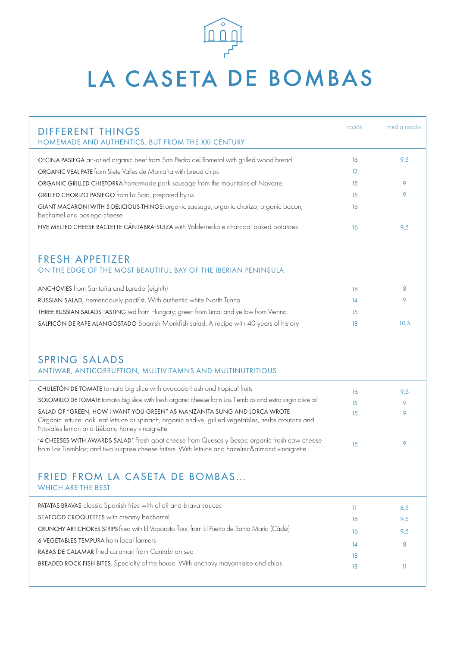

## LA CASETA DE BOMBAS

| DIFFERENT THINGS                                                                                                                                                                                                                | ración | media ración |
|---------------------------------------------------------------------------------------------------------------------------------------------------------------------------------------------------------------------------------|--------|--------------|
| HOMEMADE AND AUTHENTICS, BUT FROM THE XXI CENTURY                                                                                                                                                                               |        |              |
| CECINA PASIEGA air-dried organic beef from San Pedro del Romeral with grilled wood bread                                                                                                                                        | 16     | 9,5          |
| ORGANIC VEAL PATE from Siete Valles de Montaña with bread chips                                                                                                                                                                 | 12     |              |
| ORGANIC GRILLED CHISTORRA homemade pork sausage from the mountains of Navarre                                                                                                                                                   | 15     | 9            |
| GRILLED CHORIZO PASIEGO from La Sota, prepared by us                                                                                                                                                                            | 15     | 9            |
| GIANT MACARONI WITH 5 DELICIOUS THINGS: organic sausage, organic chorizo, organic bacon,<br>bechamel and pasiego cheese                                                                                                         | 16     |              |
| FIVE MELTED CHEESE RACLETTE CÁNTABRA-SUIZA with Valderredible charcoal baked potatoes                                                                                                                                           | 16     | 9,5          |
|                                                                                                                                                                                                                                 |        |              |
| FRESH APPETIZER                                                                                                                                                                                                                 |        |              |
| ON THE EDGE OF THE MOST BEAUTIFUL BAY OF THE IBERIAN PENINSULA                                                                                                                                                                  |        |              |
| ANCHOVIES from Santoña and Laredo (eighth)                                                                                                                                                                                      | 16     | 8            |
| RUSSIAN SALAD, tremendously pacifist. With authentic white North Tunna                                                                                                                                                          | 14     | 9            |
| THREE RUSSIAN SALADS TASTING red from Hungary; green from Lima; and yellow from Vienna                                                                                                                                          | 15     |              |
| SALPICÓN DE RAPE ALANGOSTADO Spanish Monkfish salad. A recipe with 40 years of history                                                                                                                                          | 18     | 10,5         |
|                                                                                                                                                                                                                                 |        |              |
| <b>SPRING SALADS</b>                                                                                                                                                                                                            |        |              |
| ANTIWAR, ANTICORRUPTION, MULTIVITAMNS AND MULTINUTRITIOUS                                                                                                                                                                       |        |              |
| CHULETÓN DE TOMATE tomato big slice with avocado hash and tropical fruits                                                                                                                                                       | 16     | 9,5          |
| SOLOMILLO DE TOMATE tomato big slice with fresh organic cheese from Los Tiemblos and extra virgin olive oil                                                                                                                     | 15     | 9            |
| SALAD OF "GREEN, HOW I WANT YOU GREEN" AS MANZANITA SUNG AND LORCA WROTE<br>Organic lettuce, oak leaf lettuce or spinach, organic endive, grilled vegetables, herbs croutons and<br>Novales lemon and Liébana honey vinaigrette | 15     | 9            |
| '4 CHEESES WITH AWARDS SALAD'. Fresh goat cheese from Quesos y Besos; organic fresh cow cheese<br>from Los Tiemblos; and two surprise cheese fritters. With lettuce and hazelnut&almond vinaigrette                             | 15     | 9            |

## FRIED FROM LA CASETA DE BOMBAS…

| <b>PATATAS BRAVAS</b> classic Spanish fries with alioli and brava sauces                       |    | 6,5 |
|------------------------------------------------------------------------------------------------|----|-----|
| SEAFOOD CROQUETTES with creamy bechamel                                                        | 16 | 9,5 |
| CRUNCHY ARTICHOKES STRIPS fried with El Vaporcito flour, from El Puerto de Santa María (Cádiz) | 16 | 9,5 |
| 6 VEGETABLES TEMPURA from local farmers                                                        | 14 |     |
| RABAS DE CALAMAR fried calamari from Cantabrian sea                                            | 18 |     |
| BREADED ROCK FISH BITES. Specialty of the house. With anchovy mayonnaise and chips             | 18 |     |
|                                                                                                |    |     |